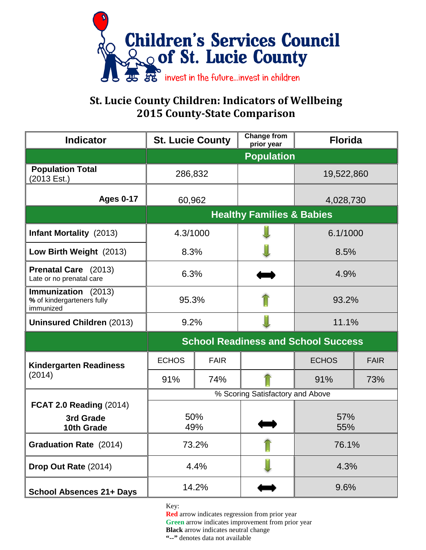

## **St. Lucie County Children: Indicators of Wellbeing 2015 County-State Comparison**

| <b>Indicator</b>                                               | <b>St. Lucie County</b>                    |             | <b>Change from</b><br>prior year | <b>Florida</b> |             |
|----------------------------------------------------------------|--------------------------------------------|-------------|----------------------------------|----------------|-------------|
|                                                                | <b>Population</b>                          |             |                                  |                |             |
| <b>Population Total</b><br>(2013 Est.)                         | 286,832                                    |             |                                  | 19,522,860     |             |
| <b>Ages 0-17</b>                                               | 60,962                                     |             |                                  | 4,028,730      |             |
|                                                                | <b>Healthy Families &amp; Babies</b>       |             |                                  |                |             |
| <b>Infant Mortality</b> (2013)                                 | 4.3/1000                                   |             |                                  | 6.1/1000       |             |
| Low Birth Weight (2013)                                        | 8.3%                                       |             |                                  | 8.5%           |             |
| Prenatal Care (2013)<br>Late or no prenatal care               | 6.3%                                       |             |                                  | 4.9%           |             |
| Immunization (2013)<br>% of kindergarteners fully<br>immunized | 95.3%                                      |             |                                  | 93.2%          |             |
| <b>Uninsured Children (2013)</b>                               | 9.2%                                       |             |                                  | 11.1%          |             |
|                                                                | <b>School Readiness and School Success</b> |             |                                  |                |             |
| <b>Kindergarten Readiness</b><br>(2014)                        | <b>ECHOS</b>                               | <b>FAIR</b> |                                  | <b>ECHOS</b>   | <b>FAIR</b> |
|                                                                | 91%                                        | 74%         |                                  | 91%            | 73%         |
|                                                                | % Scoring Satisfactory and Above           |             |                                  |                |             |
| <b>FCAT 2.0 Reading (2014)</b><br>3rd Grade<br>10th Grade      | 50%<br>49%                                 |             |                                  | 57%<br>55%     |             |
| <b>Graduation Rate</b> (2014)                                  | 73.2%                                      |             |                                  | 76.1%          |             |
| Drop Out Rate (2014)                                           | 4.4%                                       |             |                                  | 4.3%           |             |
| <b>School Absences 21+ Days</b>                                | 14.2%                                      |             |                                  | 9.6%           |             |

Key:

**Red** arrow indicates regression from prior year **Green** arrow indicates improvement from prior year **Black** arrow indicates neutral change

**"--"** denotes data not available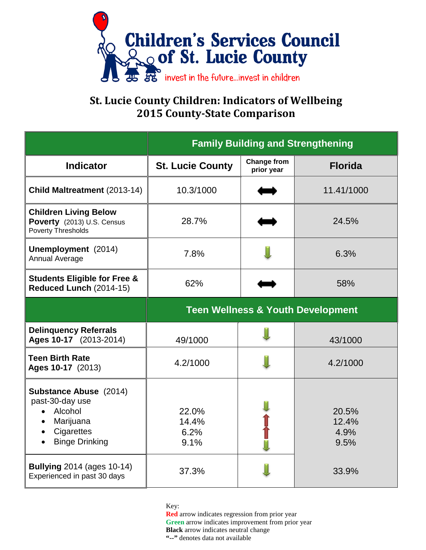

## **St. Lucie County Children: Indicators of Wellbeing 2015 County-State Comparison**

|                                                                                                                   | <b>Family Building and Strengthening</b>     |                                  |                                |  |  |
|-------------------------------------------------------------------------------------------------------------------|----------------------------------------------|----------------------------------|--------------------------------|--|--|
| <b>Indicator</b>                                                                                                  | <b>St. Lucie County</b>                      | <b>Change from</b><br>prior year | <b>Florida</b>                 |  |  |
| Child Maltreatment (2013-14)                                                                                      | 10.3/1000                                    |                                  | 11.41/1000                     |  |  |
| <b>Children Living Below</b><br>Poverty (2013) U.S. Census<br><b>Poverty Thresholds</b>                           | 28.7%                                        |                                  | 24.5%                          |  |  |
| Unemployment (2014)<br><b>Annual Average</b>                                                                      | 7.8%                                         |                                  | 6.3%                           |  |  |
| <b>Students Eligible for Free &amp;</b><br>Reduced Lunch (2014-15)                                                | 62%                                          |                                  | 58%                            |  |  |
|                                                                                                                   | <b>Teen Wellness &amp; Youth Development</b> |                                  |                                |  |  |
| <b>Delinquency Referrals</b><br>Ages 10-17 (2013-2014)                                                            | 49/1000                                      |                                  | 43/1000                        |  |  |
| <b>Teen Birth Rate</b><br>Ages 10-17 (2013)                                                                       | 4.2/1000                                     |                                  | 4.2/1000                       |  |  |
| <b>Substance Abuse</b> (2014)<br>past-30-day use<br>• Alcohol<br>Marijuana<br>Cigarettes<br><b>Binge Drinking</b> | 22.0%<br>14.4%<br>6.2%<br>9.1%               |                                  | 20.5%<br>12.4%<br>4.9%<br>9.5% |  |  |
| <b>Bullying 2014 (ages 10-14)</b><br>Experienced in past 30 days                                                  | 37.3%                                        |                                  | 33.9%                          |  |  |

Key:

**Red** arrow indicates regression from prior year **Green** arrow indicates improvement from prior year **Black** arrow indicates neutral change **"--"** denotes data not available